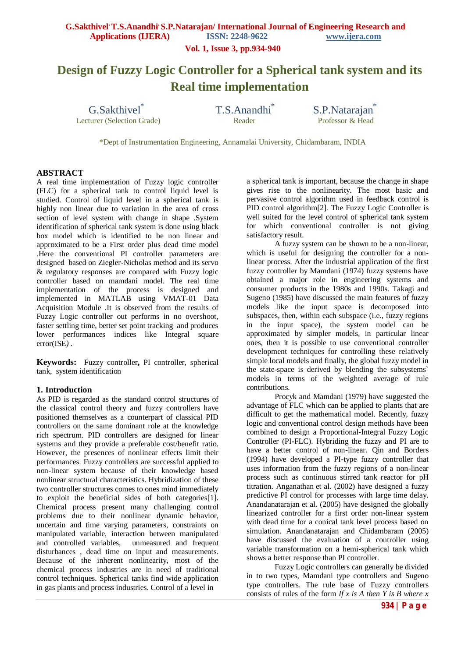**Vol. 1, Issue 3, pp.934-940**

# **Design of Fuzzy Logic Controller for a Spherical tank system and its Real time implementation**

G.Sakthivel<sup>\*</sup> Lecturer (Selection Grade) T.S.Anandhi\*

S.P.Natarajan<sup>\*</sup><br>Professor & Head

\*Dept of Instrumentation Engineering, Annamalai University, Chidambaram, INDIA

#### **ABSTRACT**

A real time implementation of Fuzzy logic controller (FLC) for a spherical tank to control liquid level is studied. Control of liquid level in a spherical tank is highly non linear due to variation in the area of cross section of level system with change in shape .System identification of spherical tank system is done using black box model which is identified to be non linear and approximated to be a First order plus dead time model .Here the conventional PI controller parameters are designed based on Ziegler-Nicholas method and its servo & regulatory responses are compared with Fuzzy logic controller based on mamdani model. The real time implementation of the process is designed and implemented in MATLAB using VMAT-01 Data Acquisition Module .It is observed from the results of Fuzzy Logic controller out performs in no overshoot, faster settling time, better set point tracking and produces lower performances indices like Integral square error(ISE*) .*

**Keywords:** Fuzzy controller**,** PI controller, spherical tank, system identification

#### **1. Introduction**

As PID is regarded as the standard control structures of the classical control theory and fuzzy controllers have positioned themselves as a counterpart of classical PID controllers on the same dominant role at the knowledge rich spectrum. PID controllers are designed for linear systems and they provide a preferable cost/benefit ratio. However, the presences of nonlinear effects limit their performances. Fuzzy controllers are successful applied to non-linear system because of their knowledge based nonlinear structural characteristics. Hybridization of these two controller structures comes to ones mind immediately to exploit the beneficial sides of both categories[1]. Chemical process present many challenging control problems due to their nonlinear dynamic behavior, uncertain and time varying parameters, constraints on manipulated variable, interaction between manipulated and controlled variables, unmeasured and frequent disturbances , dead time on input and measurements. Because of the inherent nonlinearity, most of the chemical process industries are in need of traditional control techniques. Spherical tanks find wide application in gas plants and process industries. Control of a level in

a spherical tank is important, because the change in shape gives rise to the nonlinearity. The most basic and pervasive control algorithm used in feedback control is PID control algorithm[2]. The Fuzzy Logic Controller is well suited for the level control of spherical tank system for which conventional controller is not giving satisfactory result.

A fuzzy system can be shown to be a non-linear, which is useful for designing the controller for a nonlinear process. After the industrial application of the first fuzzy controller by Mamdani (1974) fuzzy systems have obtained a major role in engineering systems and consumer products in the 1980s and 1990s. Takagi and Sugeno (1985) have discussed the main features of fuzzy models like the input space is decomposed into subspaces, then, within each subspace (i.e., fuzzy regions in the input space), the system model can be approximated by simpler models, in particular linear ones, then it is possible to use conventional controller development techniques for controlling these relatively simple local models and finally, the global fuzzy model in the state-space is derived by blending the subsystems` models in terms of the weighted average of rule contributions.

Procyk and Mamdani (1979) have suggested the advantage of FLC which can be applied to plants that are difficult to get the mathematical model. Recently, fuzzy logic and conventional control design methods have been combined to design a Proportional-Integral Fuzzy Logic Controller (PI-FLC). Hybriding the fuzzy and PI are to have a better control of non-linear. Oin and Borders (1994) have developed a PI-type fuzzy controller that uses information from the fuzzy regions of a non-linear process such as continuous stirred tank reactor for pH titration. Anganathan et al. (2002) have designed a fuzzy predictive PI control for processes with large time delay. Anandanatarajan et al. (2005) have designed the globally linearized controller for a first order non-linear system with dead time for a conical tank level process based on simulation. Anandanatarajan and Chidambaram (2005) have discussed the evaluation of a controller using variable transformation on a hemi-spherical tank which shows a better response than PI controller.

Fuzzy Logic controllers can generally be divided in to two types, Mamdani type controllers and Sugeno type controllers. The rule base of Fuzzy controllers consists of rules of the form *If x is A then Y is B where x*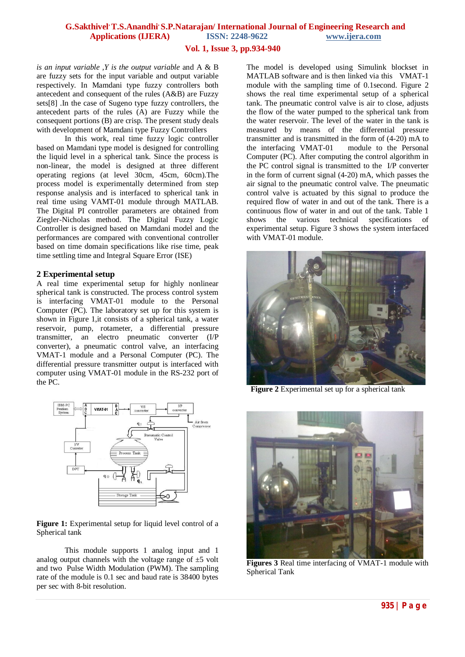#### **Vol. 1, Issue 3, pp.934-940**

*is an input variable ,Y is the output variable* and A & B are fuzzy sets for the input variable and output variable respectively. In Mamdani type fuzzy controllers both antecedent and consequent of the rules (A&B) are Fuzzy sets[8] .In the case of Sugeno type fuzzy controllers, the antecedent parts of the rules (A) are Fuzzy while the consequent portions (B) are crisp. The present study deals with development of Mamdani type Fuzzy Controllers

In this work, real time fuzzy logic controller based on Mamdani type model is designed for controlling the liquid level in a spherical tank. Since the process is non-linear, the model is designed at three different operating regions (at level 30cm, 45cm, 60cm).The process model is experimentally determined from step response analysis and is interfaced to spherical tank in real time using VAMT-01 module through MATLAB. The Digital PI controller parameters are obtained from Ziegler-Nicholas method. The Digital Fuzzy Logic Controller is designed based on Mamdani model and the performances are compared with conventional controller based on time domain specifications like rise time, peak time settling time and Integral Square Error (ISE)

#### **2 Experimental setup**

A real time experimental setup for highly nonlinear spherical tank is constructed. The process control system is interfacing VMAT-01 module to the Personal Computer (PC). The laboratory set up for this system is shown in Figure 1,it consists of a spherical tank, a water reservoir, pump, rotameter, a differential pressure transmitter, an electro pneumatic converter (I/P converter), a pneumatic control valve, an interfacing VMAT-1 module and a Personal Computer (PC). The differential pressure transmitter output is interfaced with computer using VMAT-01 module in the RS-232 port of the PC.



#### Figure 1: Experimental setup for liquid level control of a Spherical tank

This module supports 1 analog input and 1 analog output channels with the voltage range of  $\pm$ 5 volt and two Pulse Width Modulation (PWM). The sampling rate of the module is 0.1 sec and baud rate is 38400 bytes per sec with 8-bit resolution.

The model is developed using Simulink blockset in MATLAB software and is then linked via this VMAT-1 module with the sampling time of 0.1second. Figure 2 shows the real time experimental setup of a spherical tank. The pneumatic control valve is air to close, adjusts the flow of the water pumped to the spherical tank from the water reservoir. The level of the water in the tank is measured by means of the differential pressure transmitter and is transmitted in the form of (4-20) mA to the interfacing VMAT-01 module to the Personal Computer (PC). After computing the control algorithm in the PC control signal is transmitted to the I/P converter in the form of current signal (4-20) mA, which passes the air signal to the pneumatic control valve. The pneumatic control valve is actuated by this signal to produce the required flow of water in and out of the tank. There is a continuous flow of water in and out of the tank. Table 1 shows the various technical specifications of experimental setup. Figure 3 shows the system interfaced with VMAT-01 module.



 **Figure 2** Experimental set up for a spherical tank



**Figures 3** Real time interfacing of VMAT-1 module with Spherical Tank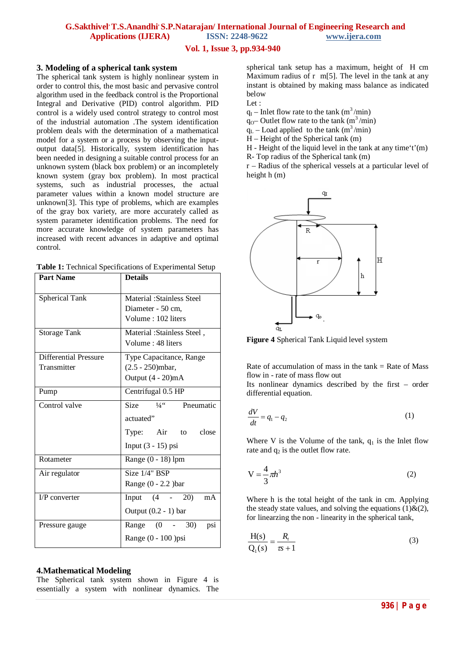# **Vol. 1, Issue 3, pp.934-940**

#### **3. Modeling of a spherical tank system**

The spherical tank system is highly nonlinear system in order to control this, the most basic and pervasive control algorithm used in the feedback control is the Proportional Integral and Derivative (PID) control algorithm. PID control is a widely used control strategy to control most of the industrial automation .The system identification problem deals with the determination of a mathematical model for a system or a process by observing the inputoutput data[5]. Historically, system identification has been needed in designing a suitable control process for an unknown system (black box problem) or an incompletely known system (gray box problem). In most practical systems, such as industrial processes, the actual parameter values within a known model structure are unknown[3]. This type of problems, which are examples of the gray box variety, are more accurately called as system parameter identification problems. The need for more accurate knowledge of system parameters has increased with recent advances in adaptive and optimal control.

| <b>Part Name</b>             | <b>Details</b>                                   |  |  |
|------------------------------|--------------------------------------------------|--|--|
| Spherical Tank               | Material : Stainless Steel                       |  |  |
|                              | Diameter - 50 cm,                                |  |  |
|                              | Volume: 102 liters                               |  |  |
| Storage Tank                 | Material: Stainless Steel,                       |  |  |
|                              | Volume: 48 liters                                |  |  |
| <b>Differential Pressure</b> | Type Capacitance, Range                          |  |  |
| Transmitter                  | $(2.5 - 250)$ mbar,                              |  |  |
|                              | Output $(4 - 20)mA$                              |  |  |
| Pump                         | Centrifugal 0.5 HP                               |  |  |
| Control valve                | $\overline{\text{Size}}$ $\frac{1}{4}$ Pneumatic |  |  |
|                              | actuated"                                        |  |  |
|                              | Type: Air to close                               |  |  |
|                              | Input $(3 - 15)$ psi                             |  |  |
| Rotameter                    | Range (0 - 18) lpm                               |  |  |
| Air regulator                | $\overline{\text{Size}}$ 1/4" BSP                |  |  |
|                              | Range $(0 - 2.2)$ bar                            |  |  |
| $I/P$ converter              | Input $(4 - 20)$<br>mA                           |  |  |
|                              | Output $(0.2 - 1)$ bar                           |  |  |
| Pressure gauge               | Range $(0 - 30)$<br>psi                          |  |  |
|                              | Range (0 - 100 )psi                              |  |  |

#### **4.Mathematical Modeling**

The Spherical tank system shown in Figure 4 is essentially a system with nonlinear dynamics. The spherical tank setup has a maximum, height of H cm Maximum radius of  $r$  m[5]. The level in the tank at any instant is obtained by making mass balance as indicated below

Let :

- $q_1$  Inlet flow rate to the tank (m<sup>3</sup>/min)
- $q_{0}$  Outlet flow rate to the tank (m<sup>3</sup>/min)
- $q_L$  Load applied to the tank (m<sup>3</sup>/min)
- H Height of the Spherical tank (m)
- H Height of the liquid level in the tank at any time't'(m)
- R- Top radius of the Spherical tank (m)

r – Radius of the spherical vessels at a particular level of height h (m)



**Figure 4** Spherical Tank Liquid level system

Rate of accumulation of mass in the  $tank = Rate$  of Mass flow in - rate of mass flow out Its nonlinear dynamics described by the first – order differential equation.

$$
\frac{dV}{dt} = q_1 - q_2 \tag{1}
$$

Where V is the Volume of the tank,  $q_1$  is the Inlet flow rate and  $q_2$  is the outlet flow rate.

$$
V = \frac{4}{3}\pi h^3\tag{2}
$$

Where h is the total height of the tank in cm. Applying the steady state values, and solving the equations  $(1)$ & $(2)$ , for linearzing the non - linearity in the spherical tank,

$$
\frac{H(s)}{Q_1(s)} = \frac{R_t}{\tau s + 1}
$$
\n(3)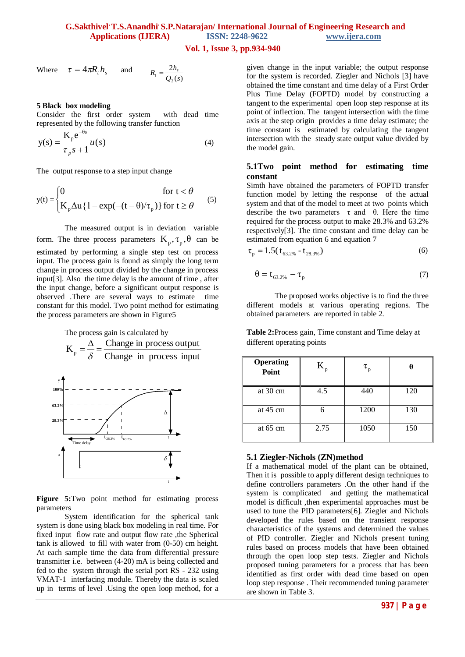# **G.Sakthivel, T.S.Anandhi, S.P.Natarajan/ International Journal of Engineering Research and Applications (IJERA) ISSN: 2248-9622 www.ijera.com**

# **Vol. 1, Issue 3, pp.934-940**

Where 
$$
\tau = 4\pi R_t h_s
$$
 and  $R_t = \frac{2h_s}{Q_2(s)}$ 

#### **5 Black box modeling**

Consider the first order system with dead time represented by the following transfer function

$$
y(s) = \frac{K_{p}e^{-\theta s}}{\tau_{p}s + 1}u(s)
$$
 (4)

The output response to a step input change

$$
y(t) = \begin{cases} 0 & \text{for } t < \theta \\ K_p \Delta u \{1 - \exp(-(t - \theta)/\tau_p)\} & \text{for } t \ge \theta \end{cases}
$$
(5)

The measured output is in deviation variable form. The three process parameters  $K_p, \tau_p, \theta$  can be estimated by performing a single step test on process input. The process gain is found as simply the long term change in process output divided by the change in process input[3]. Also the time delay is the amount of time , after the input change, before a significant output response is observed .There are several ways to estimate time constant for this model. Two point method for estimating the process parameters are shown in Figure5



**Figure 5:**Two point method for estimating process parameters

System identification for the spherical tank system is done using black box modeling in real time. For fixed input flow rate and output flow rate ,the Spherical tank is allowed to fill with water from (0-50) cm height. At each sample time the data from differential pressure transmitter i.e. between (4-20) mA is being collected and fed to the system through the serial port RS - 232 using VMAT-1 interfacing module. Thereby the data is scaled up in terms of level .Using the open loop method, for a given change in the input variable; the output response for the system is recorded. Ziegler and Nichols [3] have obtained the time constant and time delay of a First Order Plus Time Delay (FOPTD) model by constructing a tangent to the experimental open loop step response at its point of inflection. The tangent intersection with the time axis at the step origin provides a time delay estimate; the time constant is estimated by calculating the tangent intersection with the steady state output value divided by the model gain.

#### **5.1Two point method for estimating time constant**

Simth have obtained the parameters of FOPTD transfer function model by letting the response of the actual system and that of the model to meet at two points which describe the two parameters  $\tau$  and  $\theta$ . Here the time required for the process output to make 28.3% and 63.2% respectively[3]. The time constant and time delay can be estimated from equation 6 and equation 7

$$
\tau_p = 1.5(t_{63.2\%} - t_{28.3\%})
$$
\n(6)

$$
\theta = \mathbf{t}_{63.2\%} - \mathbf{\tau}_p \tag{7}
$$

The proposed works objective is to find the three different models at various operating regions. The obtained parameters are reported in table 2.

**Table 2:**Process gain, Time constant and Time delay at different operating points

| <b>Operating</b><br>Point | $K_{p}$ | $\tau_{\rm p}$ |     |
|---------------------------|---------|----------------|-----|
| at 30 cm                  | 4.5     | 440            | 120 |
| at $45 \text{ cm}$        |         | 1200           | 130 |
| at $65 \text{ cm}$        | 2.75    | 1050           | 150 |

#### **5.1 Ziegler-Nichols (ZN)method**

If a mathematical model of the plant can be obtained, Then it is possible to apply different design techniques to define controllers parameters .On the other hand if the system is complicated and getting the mathematical model is difficult ,then experimental approaches must be used to tune the PID parameters[6]. Ziegler and Nichols developed the rules based on the transient response characteristics of the systems and determined the values of PID controller. Ziegler and Nichols present tuning rules based on process models that have been obtained through the open loop step tests. Ziegler and Nichols proposed tuning parameters for a process that has been identified as first order with dead time based on open loop step response . Their recommended tuning parameter are shown in Table 3.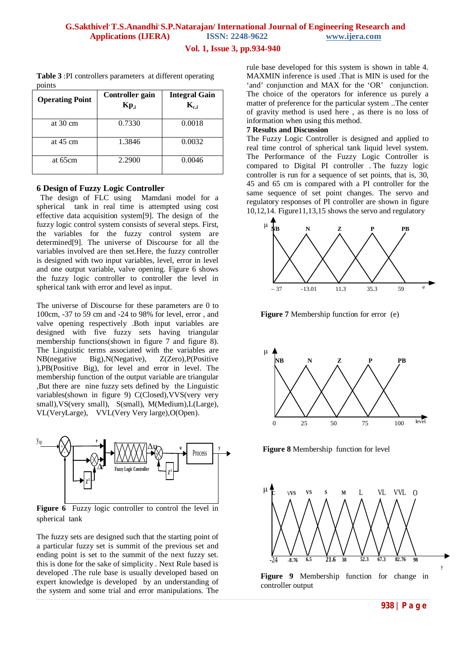#### **G.Sakthivel, T.S.Anandhi, S.P.Natarajan/ International Journal of Engineering Research and Applications (IJERA) ISSN: 2248-9622 www.ijera.com**

#### **Vol. 1, Issue 3, pp.934-940**

# **Table 3** :PI controllers parameters at different operating points

| <b>Operating Point</b> | Controller gain<br>$Kp_i$ | <b>Integral Gain</b><br>$K_{c,i}$ |
|------------------------|---------------------------|-----------------------------------|
| at $30 \text{ cm}$     | 0.7330                    | 0.0018                            |
| at $45 \text{ cm}$     | 1.3846                    | 0.0032                            |
| at 65cm                | 2.2900                    | 0.0046                            |

#### **6 Design of Fuzzy Logic Controller**

 The design of FLC using Mamdani model for a spherical tank in real time is attempted using cost effective data acquisition system[9]. The design of the fuzzy logic control system consists of several steps. First, the variables for the fuzzy control system are determined[9]. The universe of Discourse for all the variables involved are then set.Here, the fuzzy controller is designed with two input variables, level, error in level and one output variable, valve opening. Figure 6 shows the fuzzy logic controller to controller the level in spherical tank with error and level as input.

The universe of Discourse for these parameters are 0 to 100cm, -37 to 59 cm and -24 to 98% for level, error , and valve opening respectively .Both input variables are designed with five fuzzy sets having triangular membership functions(shown in figure 7 and figure 8). The Linguistic terms associated with the variables are NB(negative Big),N(Negative), Z(Zero),P(Positive ),PB(Positive Big), for level and error in level. The membership function of the output variable are triangular ,But there are nine fuzzy sets defined by the Linguistic variables(shown in figure 9) C(Closed),VVS(very very small), VS(very small), S(small), M(Medium), L(Large), VL(VeryLarge), VVL(Very Very large),O(Open).



**Figure 6** Fuzzy logic controller to control the level in spherical tank

The fuzzy sets are designed such that the starting point of a particular fuzzy set is summit of the previous set and ending point is set to the summit of the next fuzzy set. this is done for the sake of simplicity . Next Rule based is developed .The rule base is usually developed based on expert knowledge is developed by an understanding of the system and some trial and error manipulations. The rule base developed for this system is shown in table 4. MAXMIN inference is used .That is MIN is used for the 'and' conjunction and MAX for the 'OR' conjunction. The choice of the operators for inference us purely a matter of preference for the particular system ..The center of gravity method is used here , as there is no loss of information when using this method.

#### **7 Results and Discussion**

The Fuzzy Logic Controller is designed and applied to real time control of spherical tank liquid level system. The Performance of the Fuzzy Logic Controller is compared to Digital PI controller . The fuzzy logic controller is run for a sequence of set points, that is, 30, 45 and 65 cm is compared with a PI controller for the same sequence of set point changes. The servo and regulatory responses of PI controller are shown in figure 10,12,14. Figure11,13,15 shows the servo and regulatory



**Figure 7** Membership function for error (e)



**Figure 8** Membership function for level



controller output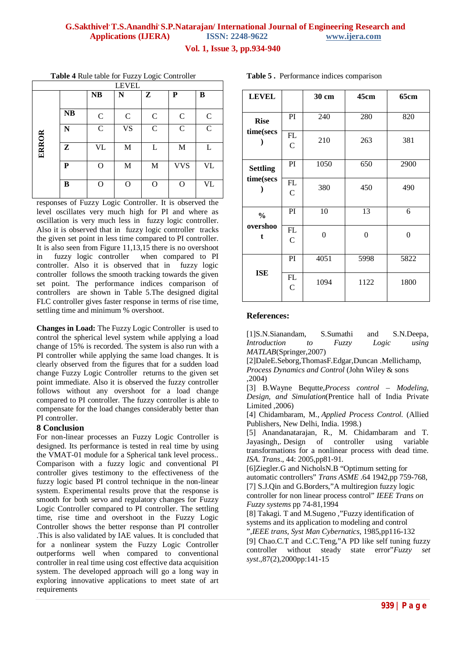# **G.Sakthivel, T.S.Anandhi, S.P.Natarajan/ International Journal of Engineering Research and Applications (IJERA) ISSN: 2248-9622 www.ijera.com**

**Vol. 1, Issue 3, pp.934-940**

**Table 4** Rule table for Fuzzy Logic Controller

| <b>LEVEL</b> |           |               |             |              |             |               |
|--------------|-----------|---------------|-------------|--------------|-------------|---------------|
|              |           | <b>NB</b>     | N           | $\mathbf{Z}$ | ${\bf P}$   | B             |
|              | <b>NB</b> | $\mathbf C$   | $\mathbf C$ | $\mathbf C$  | $\mathbf C$ | $\mathcal{C}$ |
|              | N         | $\mathcal{C}$ | <b>VS</b>   | $\mathbf C$  | $\mathbf C$ | $\mathcal{C}$ |
| ERROR        | Z         | <b>VL</b>     | $\mathbf M$ | L            | $\mathbf M$ | L             |
|              | P         | $\mathbf O$   | $\mathbf M$ | M            | <b>VVS</b>  | <b>VL</b>     |
|              | B         | $\mathbf O$   | O           | $\Omega$     | O           | <b>VL</b>     |

responses of Fuzzy Logic Controller. It is observed the level oscillates very much high for PI and where as oscillation is very much less in fuzzy logic controller. Also it is observed that in fuzzy logic controller tracks the given set point in less time compared to PI controller. It is also seen from Figure 11,13,15 there is no overshoot in fuzzy logic controller when compared to PI controller. Also it is observed that in fuzzy logic controller follows the smooth tracking towards the given set point. The performance indices comparison of controllers are shown in Table 5.The designed digital FLC controller gives faster response in terms of rise time, settling time and minimum % overshoot.

**Changes in Load:** The Fuzzy Logic Controller is used to control the spherical level system while applying a load change of 15% is recorded. The system is also run with a PI controller while applying the same load changes. It is clearly observed from the figures that for a sudden load change Fuzzy Logic Controller returns to the given set point immediate. Also it is observed the fuzzy controller follows without any overshoot for a load change compared to PI controller. The fuzzy controller is able to compensate for the load changes considerably better than PI controller.

# **8 Conclusion**

For non-linear processes an Fuzzy Logic Controller is designed. Its performance is tested in real time by using the VMAT-01 module for a Spherical tank level process.. Comparison with a fuzzy logic and conventional PI controller gives testimony to the effectiveness of the fuzzy logic based PI control technique in the non-linear system. Experimental results prove that the response is smooth for both servo and regulatory changes for Fuzzy Logic Controller compared to PI controller. The settling time, rise time and overshoot in the Fuzzy Logic Controller shows the better response than PI controller .This is also validated by IAE values. It is concluded that for a nonlinear system the Fuzzy Logic Controller outperforms well when compared to conventional controller in real time using cost effective data acquisition system. The developed approach will go a long way in exploring innovative applications to meet state of art requirements

| <b>LEVEL</b>                   |                      | 30 cm          | 45cm           | 65cm           |
|--------------------------------|----------------------|----------------|----------------|----------------|
| <b>Rise</b><br>time(secs       | PI                   | 240            | 280            | 820            |
|                                | FL<br>$\mathcal{C}$  | 210            | 263            | 381            |
| <b>Settling</b><br>time(secs   | PI                   | 1050           | 650            | 2900           |
|                                | FL<br>$\mathbf C$    | 380            | 450            | 490            |
| $\frac{0}{0}$<br>overshoo<br>t | PI                   | 10             | 13             | 6              |
|                                | FL<br>$\overline{C}$ | $\overline{0}$ | $\overline{0}$ | $\overline{0}$ |
| <b>ISE</b>                     | PI                   | 4051           | 5998           | 5822           |
|                                | <b>TIT</b>           |                |                |                |

**Table 5 .** Performance indices comparison

## **References:**

FL  $\mathcal{C}$ 

[1]S.N.Sianandam, S.Sumathi and S.N.Deepa, *Introduction to Fuzzy Logic using MATLAB*(Springer,2007)

1094 1122 1800

[2]DaleE.Seborg,ThomasF.Edgar,Duncan .Mellichamp, *Process Dynamics and Control* (John Wiley & sons ,2004)

[3] B.Wayne Bequtte,*Process control – Modeling, Design, and Simulation*(Prentice hall of India Private Limited ,2006)

[4] Chidambaram, M., *Applied Process Control.* (Allied Publishers, New Delhi, India. 1998.)

[5] Anandanatarajan, R., M. Chidambaram and T. Jayasingh,. Design of controller using variable transformations for a nonlinear process with dead time. *ISA. Trans*., 44: 2005,pp81-91.

[6]Ziegler.G and NicholsN.B "Optimum setting for automatic controllers" *Trans ASME* .64 1942,pp 759-768, [7] S.J.Qin and G.Borders,"A multiregion fuzzy logic controller for non linear process control" *IEEE Trans on Fuzzy systems* pp 74-81,1994

[8] Takagi. T and M.Sugeno ,"Fuzzy identification of systems and its application to modeling and control ",*IEEE trans, Syst Man Cybernatics*, 1985,pp116-132

[9] Chao.C.T and C.C.Teng,"A PD like self tuning fuzzy controller without steady state error"*Fuzzy set syst*.,87(2),2000pp:141-15